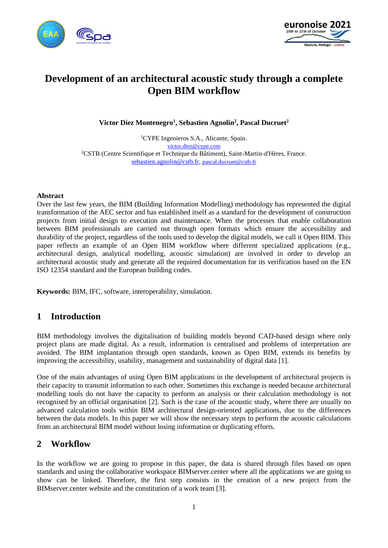



# **Development of an architectural acoustic study through a complete Open BIM workflow**

**Victor Díez Montenegro<sup>1</sup> , Sebastien Agnolin<sup>2</sup> , Pascal Ducruet<sup>2</sup>**

<sup>1</sup>CYPE Ingenieros S.A., Alicante, Spain. [victor.diez@cype.com](mailto:victor.diez@cype.com) <sup>2</sup>CSTB (Centre Scientifique et Technique du Bâtiment), Saint-Martin-d'Hères, France. [sebastien.agnolin@cstb.fr,](mailto:sebastien.agnolin@cstb.fr) [pascal.ducruet@cstb.fr](mailto:pascal.ducruet@cstb.fr)

#### **Abstract**

Over the last few years, the BIM (Building Information Modelling) methodology has represented the digital transformation of the AEC sector and has established itself as a standard for the development of construction projects from initial design to execution and maintenance. When the processes that enable collaboration between BIM professionals are carried out through open formats which ensure the accessibility and durability of the project, regardless of the tools used to develop the digital models, we call it Open BIM. This paper reflects an example of an Open BIM workflow where different specialized applications (e.g., architectural design, analytical modelling, acoustic simulation) are involved in order to develop an architectural acoustic study and generate all the required documentation for its verification based on the EN ISO 12354 standard and the European building codes.

**Keywords:** BIM, IFC, software, interoperability, simulation.

## **1 Introduction**

BIM methodology involves the digitalisation of building models beyond CAD-based design where only project plans are made digital. As a result, information is centralised and problems of interpretation are avoided. The BIM implantation through open standards, known as Open BIM, extends its benefits by improving the accessibility, usability, management and sustainability of digital data [1].

One of the main advantages of using Open BIM applications in the development of architectural projects is their capacity to transmit information to each other. Sometimes this exchange is needed because architectural modelling tools do not have the capacity to perform an analysis or their calculation methodology is not recognised by an official organisation [2]. Such is the case of the acoustic study, where there are usually no advanced calculation tools within BIM architectural design-oriented applications, due to the differences between the data models. In this paper we will show the necessary steps to perform the acoustic calculations from an architectural BIM model without losing information or duplicating efforts.

## **2 Workflow**

In the workflow we are going to propose in this paper, the data is shared through files based on open standards and using the collaborative workspace BIMserver.center where all the applications we are going to show can be linked. Therefore, the first step consists in the creation of a new project from the BIMserver.center website and the constitution of a work team [3].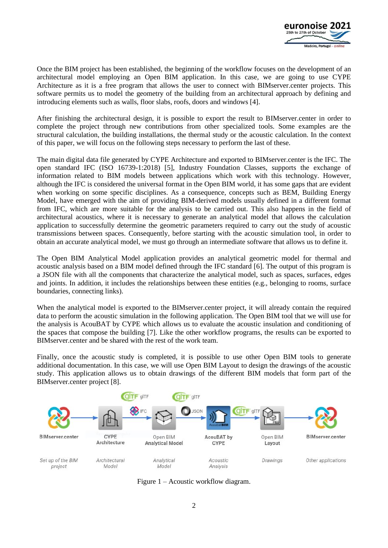

Once the BIM project has been established, the beginning of the workflow focuses on the development of an architectural model employing an Open BIM application. In this case, we are going to use CYPE Architecture as it is a free program that allows the user to connect with BIMserver.center projects. This software permits us to model the geometry of the building from an architectural approach by defining and introducing elements such as walls, floor slabs, roofs, doors and windows [4].

After finishing the architectural design, it is possible to export the result to BIMserver.center in order to complete the project through new contributions from other specialized tools. Some examples are the structural calculation, the building installations, the thermal study or the acoustic calculation. In the context of this paper, we will focus on the following steps necessary to perform the last of these.

The main digital data file generated by CYPE Architecture and exported to BIMserver.center is the IFC. The open standard IFC (ISO 16739-1:2018) [5], Industry Foundation Classes, supports the exchange of information related to BIM models between applications which work with this technology. However, although the IFC is considered the universal format in the Open BIM world, it has some gaps that are evident when working on some specific disciplines. As a consequence, concepts such as BEM, Building Energy Model, have emerged with the aim of providing BIM-derived models usually defined in a different format from IFC, which are more suitable for the analysis to be carried out. This also happens in the field of architectural acoustics, where it is necessary to generate an analytical model that allows the calculation application to successfully determine the geometric parameters required to carry out the study of acoustic transmissions between spaces. Consequently, before starting with the acoustic simulation tool, in order to obtain an accurate analytical model, we must go through an intermediate software that allows us to define it.

The Open BIM Analytical Model application provides an analytical geometric model for thermal and acoustic analysis based on a BIM model defined through the IFC standard [6]. The output of this program is a JSON file with all the components that characterize the analytical model, such as spaces, surfaces, edges and joints. In addition, it includes the relationships between these entities (e.g., belonging to rooms, surface boundaries, connecting links).

When the analytical model is exported to the BIMserver.center project, it will already contain the required data to perform the acoustic simulation in the following application. The Open BIM tool that we will use for the analysis is AcouBAT by CYPE which allows us to evaluate the acoustic insulation and conditioning of the spaces that compose the building [7]. Like the other workflow programs, the results can be exported to BIMserver.center and be shared with the rest of the work team.

Finally, once the acoustic study is completed, it is possible to use other Open BIM tools to generate additional documentation. In this case, we will use Open BIM Layout to design the drawings of the acoustic study. This application allows us to obtain drawings of the different BIM models that form part of the BIMserver.center project [8].



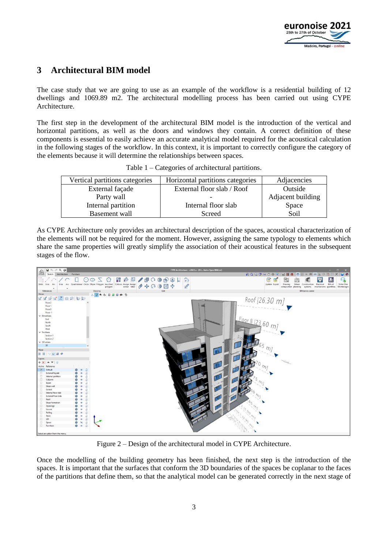

## **3 Architectural BIM model**

The case study that we are going to use as an example of the workflow is a residential building of 12 dwellings and 1069.89 m2. The architectural modelling process has been carried out using CYPE Architecture.

The first step in the development of the architectural BIM model is the introduction of the vertical and horizontal partitions, as well as the doors and windows they contain. A correct definition of these components is essential to easily achieve an accurate analytical model required for the acoustical calculation in the following stages of the workflow. In this context, it is important to correctly configure the category of the elements because it will determine the relationships between spaces.

| Vertical partitions categories | Horizontal partitions categories | Adjacencies       |
|--------------------------------|----------------------------------|-------------------|
| External façade                | External floor slab / Roof       | Outside           |
| Party wall                     |                                  | Adjacent building |
| Internal partition             | Internal floor slab              | Space             |
| Basement wall                  | Screed                           | Soil              |

Table 1 – Categories of architectural partitions.

As CYPE Architecture only provides an architectural description of the spaces, acoustical characterization of the elements will not be required for the moment. However, assigning the same typology to elements which share the same properties will greatly simplify the association of their acoustical features in the subsequent stages of the flow.



Figure 2 – Design of the architectural model in CYPE Architecture.

Once the modelling of the building geometry has been finished, the next step is the introduction of the spaces. It is important that the surfaces that conform the 3D boundaries of the spaces be coplanar to the faces of the partitions that define them, so that the analytical model can be generated correctly in the next stage of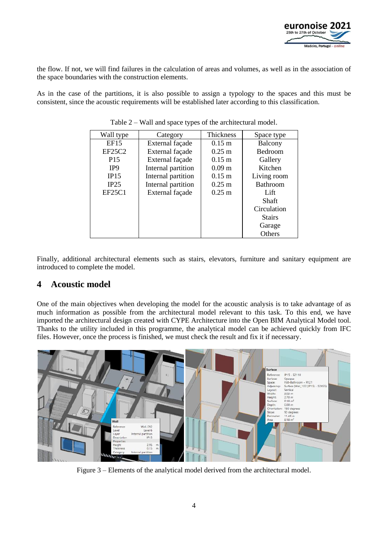

the flow. If not, we will find failures in the calculation of areas and volumes, as well as in the association of the space boundaries with the construction elements.

As in the case of the partitions, it is also possible to assign a typology to the spaces and this must be consistent, since the acoustic requirements will be established later according to this classification.

| Wall type       | Category           | Thickness            | Space type      |
|-----------------|--------------------|----------------------|-----------------|
| <b>EF15</b>     | External façade    | $0.15 \text{ m}$     | Balcony         |
| EF25C2          | External façade    | $0.25 \text{ m}$     | <b>Bedroom</b>  |
| P <sub>15</sub> | External façade    | $0.15 \text{ m}$     | Gallery         |
| IP <sub>9</sub> | Internal partition | 0.09 <sub>m</sub>    | Kitchen         |
| IP15            | Internal partition | $0.15 \text{ m}$     | Living room     |
| IP25            | Internal partition | $0.25 \; \mathrm{m}$ | <b>Bathroom</b> |
| EF25C1          | External façade    | $0.25 \text{ m}$     | Lift            |
|                 |                    |                      | Shaft           |
|                 |                    |                      | Circulation     |
|                 |                    |                      | <b>Stairs</b>   |
|                 |                    |                      | Garage          |
|                 |                    |                      | Others          |

Table 2 – Wall and space types of the architectural model.

Finally, additional architectural elements such as stairs, elevators, furniture and sanitary equipment are introduced to complete the model.

## **4 Acoustic model**

One of the main objectives when developing the model for the acoustic analysis is to take advantage of as much information as possible from the architectural model relevant to this task. To this end, we have imported the architectural design created with CYPE Architecture into the Open BIM Analytical Model tool. Thanks to the utility included in this programme, the analytical model can be achieved quickly from IFC files. However, once the process is finished, we must check the result and fix it if necessary.



Figure 3 – Elements of the analytical model derived from the architectural model.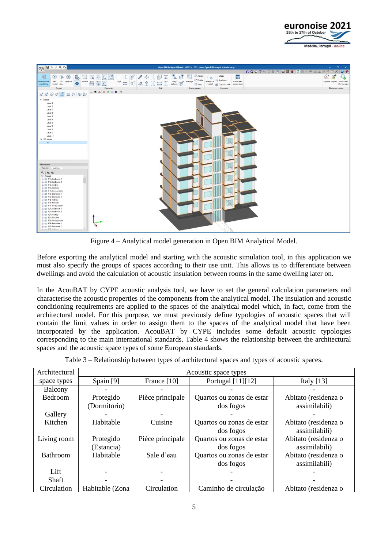



Figure 4 – Analytical model generation in Open BIM Analytical Model.

Before exporting the analytical model and starting with the acoustic simulation tool, in this application we must also specify the groups of spaces according to their use unit. This allows us to differentiate between dwellings and avoid the calculation of acoustic insulation between rooms in the same dwelling later on.

In the AcouBAT by CYPE acoustic analysis tool, we have to set the general calculation parameters and characterise the acoustic properties of the components from the analytical model. The insulation and acoustic conditioning requirements are applied to the spaces of the analytical model which, in fact, come from the architectural model. For this purpose, we must previously define typologies of acoustic spaces that will contain the limit values in order to assign them to the spaces of the analytical model that have been incorporated by the application. AcouBAT by CYPE includes some default acoustic typologies corresponding to the main international standards. Table 4 shows the relationship between the architectural spaces and the acoustic space types of some European standards.

|                   | Table 3 – Relationship between types of architectural spaces and types of acoustic spaces. |
|-------------------|--------------------------------------------------------------------------------------------|
| $\cdots$ $\cdots$ | $\lambda$ and $\lambda$ and $\lambda$ and $\lambda$ and $\lambda$                          |

| Architectural   | Acoustic space types |                  |                           |                      |  |  |  |
|-----------------|----------------------|------------------|---------------------------|----------------------|--|--|--|
| space types     | Spain [9]            | France [10]      | Portugal [11][12]         | Italy $[13]$         |  |  |  |
| Balcony         |                      |                  |                           |                      |  |  |  |
| <b>Bedroom</b>  | Protegido            | Pièce principale | Quartos ou zonas de estar | Abitato (residenza o |  |  |  |
|                 | (Dormitorio)         |                  | dos fogos                 | assimilabili)        |  |  |  |
| Gallery         |                      |                  |                           |                      |  |  |  |
| Kitchen         | Habitable            | Cuisine          | Quartos ou zonas de estar | Abitato (residenza o |  |  |  |
|                 |                      |                  | dos fogos                 | assimilabili)        |  |  |  |
| Living room     | Protegido            | Pièce principale | Quartos ou zonas de estar | Abitato (residenza o |  |  |  |
|                 | (Estancia)           |                  | dos fogos                 | assimilabili)        |  |  |  |
| <b>Bathroom</b> | Habitable            | Sale d'eau       | Quartos ou zonas de estar | Abitato (residenza o |  |  |  |
|                 |                      |                  | dos fogos                 | assimilabili)        |  |  |  |
| Lift            |                      |                  |                           |                      |  |  |  |
| Shaft           |                      |                  |                           |                      |  |  |  |
| Circulation     | Habitable (Zona      | Circulation      | Caminho de circulação     | Abitato (residenza o |  |  |  |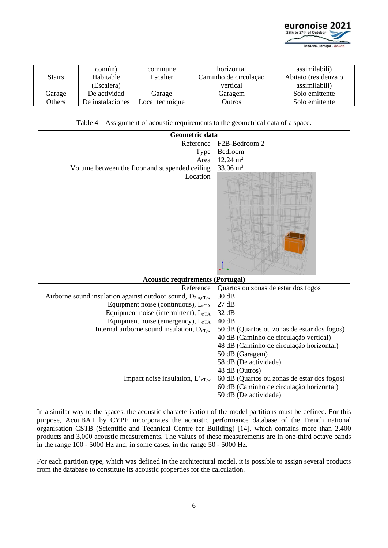

|               | común)           | commune         | horizontal            | assimilabili)        |
|---------------|------------------|-----------------|-----------------------|----------------------|
| <b>Stairs</b> | Habitable        | Escalier        | Caminho de circulação | Abitato (residenza o |
|               | (Escalera)       |                 | vertical              | assimilabili)        |
| Garage        | De actividad     | Garage          | Garagem               | Solo emittente       |
| Others        | De instalaciones | Local technique | Outros                | Solo emittente       |

Table 4 – Assignment of acoustic requirements to the geometrical data of a space.

| Geometric data                                                 |                                             |
|----------------------------------------------------------------|---------------------------------------------|
| Reference                                                      | F2B-Bedroom 2                               |
| Type                                                           | Bedroom                                     |
| Area                                                           | $12.24 \text{ m}^2$                         |
| Volume between the floor and suspended ceiling                 | 33.06 $m3$                                  |
| Location                                                       |                                             |
| <b>Acoustic requirements (Portugal)</b>                        |                                             |
| Reference                                                      | Quartos ou zonas de estar dos fogos         |
| Airborne sound insulation against outdoor sound, $D_{2m,nT,w}$ | 30 dB                                       |
| Equipment noise (continuous), $L_{nTA}$                        | 27dB                                        |
| Equipment noise (intermittent), $L_{nTA}$                      | 32 dB                                       |
| Equipment noise (emergency), L <sub>nTA</sub>                  | 40dB                                        |
| Internal airborne sound insulation, $D_{nT,w}$                 | 50 dB (Quartos ou zonas de estar dos fogos) |
|                                                                | 40 dB (Caminho de circulação vertical)      |
|                                                                | 48 dB (Caminho de circulação horizontal)    |
|                                                                | 50 dB (Garagem)                             |
|                                                                | 58 dB (De actividade)                       |
|                                                                | 48 dB (Outros)                              |
| Impact noise insulation, $L_{nT,w}$                            | 60 dB (Quartos ou zonas de estar dos fogos) |
|                                                                | 60 dB (Caminho de circulação horizontal)    |
|                                                                | 50 dB (De actividade)                       |

In a similar way to the spaces, the acoustic characterisation of the model partitions must be defined. For this purpose, AcouBAT by CYPE incorporates the acoustic performance database of the French national organisation CSTB (Scientific and Technical Centre for Building) [14], which contains more than 2,400 products and 3,000 acoustic measurements. The values of these measurements are in one-third octave bands in the range 100 - 5000 Hz and, in some cases, in the range 50 - 5000 Hz.

For each partition type, which was defined in the architectural model, it is possible to assign several products from the database to constitute its acoustic properties for the calculation.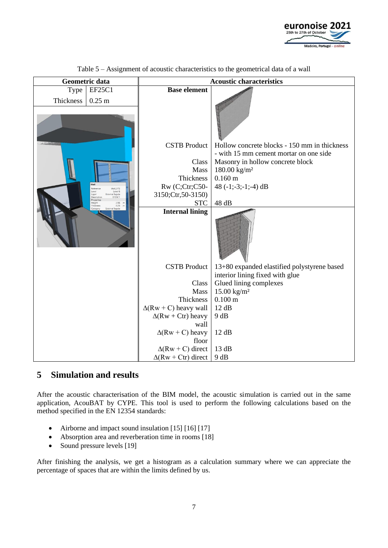

| Geometric data |                                                                                                       |                                                           | <b>Acoustic characteristics</b>              |
|----------------|-------------------------------------------------------------------------------------------------------|-----------------------------------------------------------|----------------------------------------------|
| Type           | <b>EF25C1</b>                                                                                         | <b>Base element</b>                                       |                                              |
| Thickness      | $0.25$ m                                                                                              |                                                           |                                              |
|                |                                                                                                       |                                                           |                                              |
|                |                                                                                                       | <b>CSTB</b> Product                                       | Hollow concrete blocks - 150 mm in thickness |
|                |                                                                                                       |                                                           | - with 15 mm cement mortar on one side       |
|                |                                                                                                       | Class                                                     | Masonry in hollow concrete block             |
|                |                                                                                                       | Mass<br>Thickness                                         | $180.00 \text{ kg/m}^2$<br>$0.160 \text{ m}$ |
|                |                                                                                                       | Rw (C;Ctr;C50-                                            | 48 $(-1;-3;-1;-4)$ dB                        |
|                | Reference<br>Wall 072<br>Level<br>Level 6<br><b>External facade</b><br>Layer<br>EF25C1<br>Description | 3150;Ctr,50-3150)                                         |                                              |
|                | Properties<br>2.95<br>Height<br>0.25<br>hickness                                                      | <b>STC</b>                                                | 48 dB                                        |
|                | External facade                                                                                       | <b>Internal lining</b>                                    |                                              |
|                |                                                                                                       |                                                           |                                              |
|                |                                                                                                       | <b>CSTB</b> Product                                       | 13+80 expanded elastified polystyrene based  |
|                |                                                                                                       |                                                           | interior lining fixed with glue              |
|                |                                                                                                       | Class                                                     | Glued lining complexes                       |
|                |                                                                                                       | Mass                                                      | $15.00 \text{ kg/m}^2$                       |
|                |                                                                                                       | Thickness                                                 | $0.100 \text{ m}$                            |
|                |                                                                                                       | $\Delta$ (Rw + C) heavy wall<br>$\Delta$ (Rw + Ctr) heavy | 12 dB<br>9 dB                                |
|                |                                                                                                       | wall                                                      |                                              |
|                |                                                                                                       | $\Delta$ (Rw + C) heavy                                   | 12 dB                                        |
|                |                                                                                                       | floor                                                     |                                              |
|                |                                                                                                       | $\Delta$ (Rw + C) direct                                  | 13 dB                                        |
|                |                                                                                                       | $\Delta$ (Rw + Ctr) direct                                | 9 dB                                         |

Table 5 – Assignment of acoustic characteristics to the geometrical data of a wall

## **5 Simulation and results**

After the acoustic characterisation of the BIM model, the acoustic simulation is carried out in the same application, AcouBAT by CYPE. This tool is used to perform the following calculations based on the method specified in the EN 12354 standards:

- Airborne and impact sound insulation [15] [16] [17]
- Absorption area and reverberation time in rooms [18]
- Sound pressure levels [19]

After finishing the analysis, we get a histogram as a calculation summary where we can appreciate the percentage of spaces that are within the limits defined by us.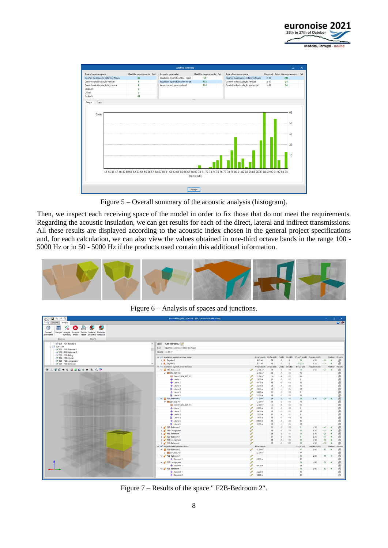

|                                     |                            | <b>Analysis summary</b>           |                            |                                     |           | $\Box$                                  | $\times$ |
|-------------------------------------|----------------------------|-----------------------------------|----------------------------|-------------------------------------|-----------|-----------------------------------------|----------|
| Type of receiver space              | Meet the requirements Fail | Acoustic parameter                | Meet the requirements Fail | Type of emission space              |           | Required   Meet the requirements   Fail |          |
| Quartos ou zonas de estar dos fogos | 60                         | Insulation against outdoor noise  | 52                         | Quartos ou zonas de estar dos fogos | $\geq 50$ | 392                                     |          |
| Caminho de circulação vertical      | 8                          | Insulation against airborne noise | 452                        | Caminho de circulação vertical      | $\geq 40$ | 24                                      |          |
| Caminho de circulação horizontal    | $\mathbf{R}$               | Impact sound pressure level       | 214                        | Caminho de circulação horizontal    | $\geq 48$ | 36                                      |          |
| Garagem                             | $\overline{2}$             |                                   |                            |                                     |           |                                         |          |
| Outros                              | $\overline{\mathbf{3}}$    |                                   |                            |                                     |           |                                         |          |
| Excluido                            | 67                         |                                   |                            |                                     |           |                                         |          |
| Cases                               |                            |                                   |                            |                                     |           | 68<br>55<br>42<br>29<br>16              |          |

Figure 5 – Overall summary of the acoustic analysis (histogram).

Then, we inspect each receiving space of the model in order to fix those that do not meet the requirements. Regarding the acoustic insulation, we can get results for each of the direct, lateral and indirect transmissions. All these results are displayed according to the acoustic index chosen in the general project specifications and, for each calculation, we can also view the values obtained in one-third octave bands in the range 100 - 5000 Hz or in 50 - 5000 Hz if the products used contain this additional information.



Figure 6 – Analysis of spaces and junctions.

| 调<br>Model<br>Analyse<br>⋪<br>తి<br>⁄х<br>Analyse Analysis Analysis Results<br>Material Materials<br>General<br>summary errors<br>report properties schedule<br>parameters<br>Analysis<br>Reports<br>S09 - F2A-Balcony 3<br>Space F2B-Bedroom 2<br>$\hat{\phantom{a}}$<br>204 - F2B<br>Type<br>Quartos ou zonas de estar dos fogos<br>SO1 - F2B-Bedroom 1<br>Volume 33.06 m <sup>1</sup><br>S02 - F2B-Bedroom 2<br>SO3 - F2B-Gallery<br>$\vee$ ( $\parallel$ Insulation against outdoor noise<br>Area/Length DnT,w (dB) C (dB) Ctr (dB) D2m,nT,w (dB) Required (dB)<br>SO4 - F2B-Kitchen<br>9.87 m <sup>2</sup><br>59<br>59<br>$-2$<br>$-8$<br>$\geq 33$<br>$+26$<br>$\triangleright$ $\blacksquare$ Façades 1<br>SOS - F2B-Living room<br>5.27 m <sup>2</sup><br>48<br>$47 (+C)$<br>$-1$<br>$-5$<br>$\geq$ 33<br>$+14$<br>$\triangleright$ $\blacksquare$ Façades 2<br>SO6 - F2B-Bathroom<br>$\vee$ ( $\bullet$ ) Insulation against airborne noise<br>DnT.w (dB)<br>$C$ (dB)<br>Ctr (dB)<br>$DnT,w$ (dB)<br>Area/Length<br>Required (dB)<br><b>BLOGOODEGOODRB</b><br>12.24 m <sup>2</sup><br>$-13$<br>73<br>$\geq$ 50<br>$\vee$ <b>F1B-Bedroom 2</b><br>73<br>$-5$<br>$+23$<br>P<br>$-13$<br>73<br>₩ 204_S02_F01<br>$12.24 \text{ m}^3$<br>73<br>$.5\,$<br>0<br>12.24 m <sup>2</sup><br>$-12$<br>104<br>Direct 1 (Z04_S02_F01)<br>104<br>$-6$<br>91<br>+ Lateral 1<br>P<br>2.050 m<br>91<br>$-12$<br>$.5\,$<br>83<br>$-13$<br>+ Lateral 2<br>0<br>0.475 m<br>83<br>-5<br>76<br>$+$ Lateral 3<br>2.230 m<br>76<br>$-13$<br>P<br>-5<br>$\cdot$ 7<br>83<br>$-15$<br>H Lateral 4<br>0<br>3.655 m<br>83<br>81<br>$-13$<br>+ Lateral 5<br>0.800 m<br>81<br>P<br>-5<br>$-7$<br>83<br>H Lateral 6<br>83<br>$-15$<br>3.350 m<br>I<br>76<br>$\vee$   F3B-Bedroom 2<br>12.24 m <sup>2</sup><br>76<br>$\geq 50$<br>$-13$<br>$\cdot 5$<br>$+26$<br>76<br>→ <b>III Z04 S02 F01</b><br>12.24 m <sup>2</sup><br>76<br>$-5$<br>$-13$<br>P<br>$12.24 \text{ m}^2$<br>$-12$<br>104<br>Direct 1 (Z04_S02_F01)<br>104<br>$-6$<br>+ Lateral 1<br>2.050 m<br>$.5\,$<br>$-12$<br>91<br>91<br>₽<br>88<br>$-12$<br>$+$ Lateral 2<br>I<br>0.475 m<br>88<br>$\cdot 5$<br>81<br>+ Lateral 3<br>2.230 m<br>81<br>$-11$<br>P<br>$-4$<br>83<br>H Lateral 4<br>3.655 m<br>$-15$<br>0<br>83<br>$-7$<br>86<br>$-12$<br>+ Lateral 5<br>P<br>0.800 m<br>86<br>$\cdot$ 5<br>83<br>H Lateral 6<br>3.350 m<br>83<br>$-7$<br>$-15$<br>0 | $\bullet$                     |
|--------------------------------------------------------------------------------------------------------------------------------------------------------------------------------------------------------------------------------------------------------------------------------------------------------------------------------------------------------------------------------------------------------------------------------------------------------------------------------------------------------------------------------------------------------------------------------------------------------------------------------------------------------------------------------------------------------------------------------------------------------------------------------------------------------------------------------------------------------------------------------------------------------------------------------------------------------------------------------------------------------------------------------------------------------------------------------------------------------------------------------------------------------------------------------------------------------------------------------------------------------------------------------------------------------------------------------------------------------------------------------------------------------------------------------------------------------------------------------------------------------------------------------------------------------------------------------------------------------------------------------------------------------------------------------------------------------------------------------------------------------------------------------------------------------------------------------------------------------------------------------------------------------------------------------------------------------------------------------------------------------------------------------------------------------------------------------------------------------------------------------------------------------------------------------------------------------------------------------------------------------------------------------------------------------------------------------------------------------------------------------------------------|-------------------------------|
|                                                                                                                                                                                                                                                                                                                                                                                                                                                                                                                                                                                                                                                                                                                                                                                                                                                                                                                                                                                                                                                                                                                                                                                                                                                                                                                                                                                                                                                                                                                                                                                                                                                                                                                                                                                                                                                                                                                                                                                                                                                                                                                                                                                                                                                                                                                                                                                                  |                               |
|                                                                                                                                                                                                                                                                                                                                                                                                                                                                                                                                                                                                                                                                                                                                                                                                                                                                                                                                                                                                                                                                                                                                                                                                                                                                                                                                                                                                                                                                                                                                                                                                                                                                                                                                                                                                                                                                                                                                                                                                                                                                                                                                                                                                                                                                                                                                                                                                  |                               |
|                                                                                                                                                                                                                                                                                                                                                                                                                                                                                                                                                                                                                                                                                                                                                                                                                                                                                                                                                                                                                                                                                                                                                                                                                                                                                                                                                                                                                                                                                                                                                                                                                                                                                                                                                                                                                                                                                                                                                                                                                                                                                                                                                                                                                                                                                                                                                                                                  |                               |
|                                                                                                                                                                                                                                                                                                                                                                                                                                                                                                                                                                                                                                                                                                                                                                                                                                                                                                                                                                                                                                                                                                                                                                                                                                                                                                                                                                                                                                                                                                                                                                                                                                                                                                                                                                                                                                                                                                                                                                                                                                                                                                                                                                                                                                                                                                                                                                                                  |                               |
|                                                                                                                                                                                                                                                                                                                                                                                                                                                                                                                                                                                                                                                                                                                                                                                                                                                                                                                                                                                                                                                                                                                                                                                                                                                                                                                                                                                                                                                                                                                                                                                                                                                                                                                                                                                                                                                                                                                                                                                                                                                                                                                                                                                                                                                                                                                                                                                                  |                               |
|                                                                                                                                                                                                                                                                                                                                                                                                                                                                                                                                                                                                                                                                                                                                                                                                                                                                                                                                                                                                                                                                                                                                                                                                                                                                                                                                                                                                                                                                                                                                                                                                                                                                                                                                                                                                                                                                                                                                                                                                                                                                                                                                                                                                                                                                                                                                                                                                  |                               |
|                                                                                                                                                                                                                                                                                                                                                                                                                                                                                                                                                                                                                                                                                                                                                                                                                                                                                                                                                                                                                                                                                                                                                                                                                                                                                                                                                                                                                                                                                                                                                                                                                                                                                                                                                                                                                                                                                                                                                                                                                                                                                                                                                                                                                                                                                                                                                                                                  |                               |
|                                                                                                                                                                                                                                                                                                                                                                                                                                                                                                                                                                                                                                                                                                                                                                                                                                                                                                                                                                                                                                                                                                                                                                                                                                                                                                                                                                                                                                                                                                                                                                                                                                                                                                                                                                                                                                                                                                                                                                                                                                                                                                                                                                                                                                                                                                                                                                                                  | Verified Results              |
|                                                                                                                                                                                                                                                                                                                                                                                                                                                                                                                                                                                                                                                                                                                                                                                                                                                                                                                                                                                                                                                                                                                                                                                                                                                                                                                                                                                                                                                                                                                                                                                                                                                                                                                                                                                                                                                                                                                                                                                                                                                                                                                                                                                                                                                                                                                                                                                                  | 司<br>۷                        |
|                                                                                                                                                                                                                                                                                                                                                                                                                                                                                                                                                                                                                                                                                                                                                                                                                                                                                                                                                                                                                                                                                                                                                                                                                                                                                                                                                                                                                                                                                                                                                                                                                                                                                                                                                                                                                                                                                                                                                                                                                                                                                                                                                                                                                                                                                                                                                                                                  | 阀<br>×                        |
|                                                                                                                                                                                                                                                                                                                                                                                                                                                                                                                                                                                                                                                                                                                                                                                                                                                                                                                                                                                                                                                                                                                                                                                                                                                                                                                                                                                                                                                                                                                                                                                                                                                                                                                                                                                                                                                                                                                                                                                                                                                                                                                                                                                                                                                                                                                                                                                                  | Verified<br>Results           |
|                                                                                                                                                                                                                                                                                                                                                                                                                                                                                                                                                                                                                                                                                                                                                                                                                                                                                                                                                                                                                                                                                                                                                                                                                                                                                                                                                                                                                                                                                                                                                                                                                                                                                                                                                                                                                                                                                                                                                                                                                                                                                                                                                                                                                                                                                                                                                                                                  | 园<br>۷                        |
|                                                                                                                                                                                                                                                                                                                                                                                                                                                                                                                                                                                                                                                                                                                                                                                                                                                                                                                                                                                                                                                                                                                                                                                                                                                                                                                                                                                                                                                                                                                                                                                                                                                                                                                                                                                                                                                                                                                                                                                                                                                                                                                                                                                                                                                                                                                                                                                                  | 甸                             |
|                                                                                                                                                                                                                                                                                                                                                                                                                                                                                                                                                                                                                                                                                                                                                                                                                                                                                                                                                                                                                                                                                                                                                                                                                                                                                                                                                                                                                                                                                                                                                                                                                                                                                                                                                                                                                                                                                                                                                                                                                                                                                                                                                                                                                                                                                                                                                                                                  |                               |
|                                                                                                                                                                                                                                                                                                                                                                                                                                                                                                                                                                                                                                                                                                                                                                                                                                                                                                                                                                                                                                                                                                                                                                                                                                                                                                                                                                                                                                                                                                                                                                                                                                                                                                                                                                                                                                                                                                                                                                                                                                                                                                                                                                                                                                                                                                                                                                                                  | 20000000000                   |
|                                                                                                                                                                                                                                                                                                                                                                                                                                                                                                                                                                                                                                                                                                                                                                                                                                                                                                                                                                                                                                                                                                                                                                                                                                                                                                                                                                                                                                                                                                                                                                                                                                                                                                                                                                                                                                                                                                                                                                                                                                                                                                                                                                                                                                                                                                                                                                                                  |                               |
|                                                                                                                                                                                                                                                                                                                                                                                                                                                                                                                                                                                                                                                                                                                                                                                                                                                                                                                                                                                                                                                                                                                                                                                                                                                                                                                                                                                                                                                                                                                                                                                                                                                                                                                                                                                                                                                                                                                                                                                                                                                                                                                                                                                                                                                                                                                                                                                                  |                               |
|                                                                                                                                                                                                                                                                                                                                                                                                                                                                                                                                                                                                                                                                                                                                                                                                                                                                                                                                                                                                                                                                                                                                                                                                                                                                                                                                                                                                                                                                                                                                                                                                                                                                                                                                                                                                                                                                                                                                                                                                                                                                                                                                                                                                                                                                                                                                                                                                  |                               |
|                                                                                                                                                                                                                                                                                                                                                                                                                                                                                                                                                                                                                                                                                                                                                                                                                                                                                                                                                                                                                                                                                                                                                                                                                                                                                                                                                                                                                                                                                                                                                                                                                                                                                                                                                                                                                                                                                                                                                                                                                                                                                                                                                                                                                                                                                                                                                                                                  |                               |
|                                                                                                                                                                                                                                                                                                                                                                                                                                                                                                                                                                                                                                                                                                                                                                                                                                                                                                                                                                                                                                                                                                                                                                                                                                                                                                                                                                                                                                                                                                                                                                                                                                                                                                                                                                                                                                                                                                                                                                                                                                                                                                                                                                                                                                                                                                                                                                                                  |                               |
|                                                                                                                                                                                                                                                                                                                                                                                                                                                                                                                                                                                                                                                                                                                                                                                                                                                                                                                                                                                                                                                                                                                                                                                                                                                                                                                                                                                                                                                                                                                                                                                                                                                                                                                                                                                                                                                                                                                                                                                                                                                                                                                                                                                                                                                                                                                                                                                                  |                               |
|                                                                                                                                                                                                                                                                                                                                                                                                                                                                                                                                                                                                                                                                                                                                                                                                                                                                                                                                                                                                                                                                                                                                                                                                                                                                                                                                                                                                                                                                                                                                                                                                                                                                                                                                                                                                                                                                                                                                                                                                                                                                                                                                                                                                                                                                                                                                                                                                  |                               |
|                                                                                                                                                                                                                                                                                                                                                                                                                                                                                                                                                                                                                                                                                                                                                                                                                                                                                                                                                                                                                                                                                                                                                                                                                                                                                                                                                                                                                                                                                                                                                                                                                                                                                                                                                                                                                                                                                                                                                                                                                                                                                                                                                                                                                                                                                                                                                                                                  | 司司                            |
|                                                                                                                                                                                                                                                                                                                                                                                                                                                                                                                                                                                                                                                                                                                                                                                                                                                                                                                                                                                                                                                                                                                                                                                                                                                                                                                                                                                                                                                                                                                                                                                                                                                                                                                                                                                                                                                                                                                                                                                                                                                                                                                                                                                                                                                                                                                                                                                                  |                               |
|                                                                                                                                                                                                                                                                                                                                                                                                                                                                                                                                                                                                                                                                                                                                                                                                                                                                                                                                                                                                                                                                                                                                                                                                                                                                                                                                                                                                                                                                                                                                                                                                                                                                                                                                                                                                                                                                                                                                                                                                                                                                                                                                                                                                                                                                                                                                                                                                  |                               |
|                                                                                                                                                                                                                                                                                                                                                                                                                                                                                                                                                                                                                                                                                                                                                                                                                                                                                                                                                                                                                                                                                                                                                                                                                                                                                                                                                                                                                                                                                                                                                                                                                                                                                                                                                                                                                                                                                                                                                                                                                                                                                                                                                                                                                                                                                                                                                                                                  | 司司司                           |
|                                                                                                                                                                                                                                                                                                                                                                                                                                                                                                                                                                                                                                                                                                                                                                                                                                                                                                                                                                                                                                                                                                                                                                                                                                                                                                                                                                                                                                                                                                                                                                                                                                                                                                                                                                                                                                                                                                                                                                                                                                                                                                                                                                                                                                                                                                                                                                                                  |                               |
|                                                                                                                                                                                                                                                                                                                                                                                                                                                                                                                                                                                                                                                                                                                                                                                                                                                                                                                                                                                                                                                                                                                                                                                                                                                                                                                                                                                                                                                                                                                                                                                                                                                                                                                                                                                                                                                                                                                                                                                                                                                                                                                                                                                                                                                                                                                                                                                                  | 面                             |
| 91<br>91<br>$\sum$ F1B-Bedroom 1<br>₽<br>$-13$<br>$\geq 50$<br>$+41$<br>$-5$                                                                                                                                                                                                                                                                                                                                                                                                                                                                                                                                                                                                                                                                                                                                                                                                                                                                                                                                                                                                                                                                                                                                                                                                                                                                                                                                                                                                                                                                                                                                                                                                                                                                                                                                                                                                                                                                                                                                                                                                                                                                                                                                                                                                                                                                                                                     | 阅<br>v<br>×                   |
| 83<br>$-13$<br>83<br>$\geq 50$<br>$+33$<br>> F1B-Living room<br>$-5$<br>75<br>75                                                                                                                                                                                                                                                                                                                                                                                                                                                                                                                                                                                                                                                                                                                                                                                                                                                                                                                                                                                                                                                                                                                                                                                                                                                                                                                                                                                                                                                                                                                                                                                                                                                                                                                                                                                                                                                                                                                                                                                                                                                                                                                                                                                                                                                                                                                 | 司<br>v                        |
| > F1B-Bathroom<br>$-13$<br>$-5$<br>$\geq 50$<br>$+25$<br>91<br>$-13$<br>$\triangleright$ F3B-Bedroom 1<br>P<br>$-5$<br>91<br>$\geq$ 50<br>$+41$                                                                                                                                                                                                                                                                                                                                                                                                                                                                                                                                                                                                                                                                                                                                                                                                                                                                                                                                                                                                                                                                                                                                                                                                                                                                                                                                                                                                                                                                                                                                                                                                                                                                                                                                                                                                                                                                                                                                                                                                                                                                                                                                                                                                                                                  | 阅<br>司<br>×                   |
| 88<br>$-12$<br>88<br>$+38$<br>$\triangleright$ $\blacksquare$ F3B-Living room<br>0<br>$-5$<br>$\geq$ 50                                                                                                                                                                                                                                                                                                                                                                                                                                                                                                                                                                                                                                                                                                                                                                                                                                                                                                                                                                                                                                                                                                                                                                                                                                                                                                                                                                                                                                                                                                                                                                                                                                                                                                                                                                                                                                                                                                                                                                                                                                                                                                                                                                                                                                                                                          | 园<br>v                        |
| 80<br>$-12$<br>80<br>$-5$<br>$\geq 50$<br>$+30$<br>> F3B-Bathroom<br>₽                                                                                                                                                                                                                                                                                                                                                                                                                                                                                                                                                                                                                                                                                                                                                                                                                                                                                                                                                                                                                                                                                                                                                                                                                                                                                                                                                                                                                                                                                                                                                                                                                                                                                                                                                                                                                                                                                                                                                                                                                                                                                                                                                                                                                                                                                                                           | 闻<br>$\checkmark$             |
| v # Impact sound pressure level<br>Area/Length<br>L'nT,w (dB)<br>Required (dB)                                                                                                                                                                                                                                                                                                                                                                                                                                                                                                                                                                                                                                                                                                                                                                                                                                                                                                                                                                                                                                                                                                                                                                                                                                                                                                                                                                                                                                                                                                                                                                                                                                                                                                                                                                                                                                                                                                                                                                                                                                                                                                                                                                                                                                                                                                                   | Verified<br>Results           |
| 12.24 m <sup>2</sup><br>47<br>$-13$<br>V BB-Bedroom 2<br>$\leq 60$<br>P                                                                                                                                                                                                                                                                                                                                                                                                                                                                                                                                                                                                                                                                                                                                                                                                                                                                                                                                                                                                                                                                                                                                                                                                                                                                                                                                                                                                                                                                                                                                                                                                                                                                                                                                                                                                                                                                                                                                                                                                                                                                                                                                                                                                                                                                                                                          | 闹<br>$\checkmark$             |
| > 204_502_F01<br>12.24 m <sup>2</sup><br>47                                                                                                                                                                                                                                                                                                                                                                                                                                                                                                                                                                                                                                                                                                                                                                                                                                                                                                                                                                                                                                                                                                                                                                                                                                                                                                                                                                                                                                                                                                                                                                                                                                                                                                                                                                                                                                                                                                                                                                                                                                                                                                                                                                                                                                                                                                                                                      | 阀                             |
| 42<br>0<br>V F3B-Bedroom 1<br>$\leq 60$<br>$-18$                                                                                                                                                                                                                                                                                                                                                                                                                                                                                                                                                                                                                                                                                                                                                                                                                                                                                                                                                                                                                                                                                                                                                                                                                                                                                                                                                                                                                                                                                                                                                                                                                                                                                                                                                                                                                                                                                                                                                                                                                                                                                                                                                                                                                                                                                                                                                 | 司<br>$\overline{\phantom{a}}$ |
| 42<br>+ Diagonal 1<br>2.050 m<br>0                                                                                                                                                                                                                                                                                                                                                                                                                                                                                                                                                                                                                                                                                                                                                                                                                                                                                                                                                                                                                                                                                                                                                                                                                                                                                                                                                                                                                                                                                                                                                                                                                                                                                                                                                                                                                                                                                                                                                                                                                                                                                                                                                                                                                                                                                                                                                               | 园                             |
| 34<br>0<br>↓ F3B-Living room<br>$\leq 60$<br>$-26$                                                                                                                                                                                                                                                                                                                                                                                                                                                                                                                                                                                                                                                                                                                                                                                                                                                                                                                                                                                                                                                                                                                                                                                                                                                                                                                                                                                                                                                                                                                                                                                                                                                                                                                                                                                                                                                                                                                                                                                                                                                                                                                                                                                                                                                                                                                                               | 司<br>×                        |
| 34<br>P<br>0.475 m<br>+ Diagonal 1                                                                                                                                                                                                                                                                                                                                                                                                                                                                                                                                                                                                                                                                                                                                                                                                                                                                                                                                                                                                                                                                                                                                                                                                                                                                                                                                                                                                                                                                                                                                                                                                                                                                                                                                                                                                                                                                                                                                                                                                                                                                                                                                                                                                                                                                                                                                                               |                               |
| 48<br>P<br>$\leq 60$<br>$-12$<br>↓ F3B-Bathroom                                                                                                                                                                                                                                                                                                                                                                                                                                                                                                                                                                                                                                                                                                                                                                                                                                                                                                                                                                                                                                                                                                                                                                                                                                                                                                                                                                                                                                                                                                                                                                                                                                                                                                                                                                                                                                                                                                                                                                                                                                                                                                                                                                                                                                                                                                                                                  | 司<br>$\checkmark$             |
| 46<br>I<br>2.230 m<br>+ Diagonal 1                                                                                                                                                                                                                                                                                                                                                                                                                                                                                                                                                                                                                                                                                                                                                                                                                                                                                                                                                                                                                                                                                                                                                                                                                                                                                                                                                                                                                                                                                                                                                                                                                                                                                                                                                                                                                                                                                                                                                                                                                                                                                                                                                                                                                                                                                                                                                               | 园                             |
| 43<br>0.800 m<br>+ Diagonal 2<br>₽                                                                                                                                                                                                                                                                                                                                                                                                                                                                                                                                                                                                                                                                                                                                                                                                                                                                                                                                                                                                                                                                                                                                                                                                                                                                                                                                                                                                                                                                                                                                                                                                                                                                                                                                                                                                                                                                                                                                                                                                                                                                                                                                                                                                                                                                                                                                                               | 司                             |

Figure 7 – Results of the space " F2B-Bedroom 2".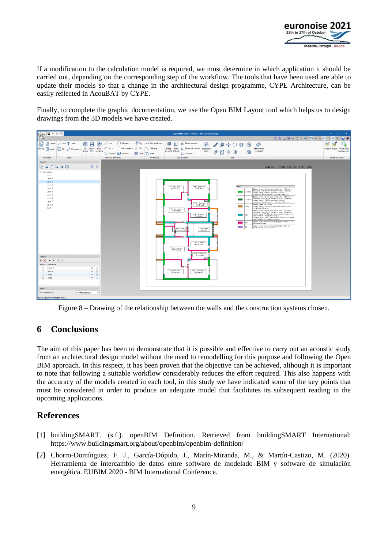

If a modification to the calculation model is required, we must determine in which application it should be carried out, depending on the corresponding step of the workflow. The tools that have been used are able to update their models so that a change in the architectural design programme, CYPE Architecture, can be easily reflected in AcouBAT by CYPE.

Finally, to complete the graphic documentation, we use the Open BIM Layout tool which helps us to design drawings from the 3D models we have created.

| в<br>6dQ                                                                                                                                                                                                                                                                                                                                                                                           | Open BIM Layout - v2022.b - [D:\\Acoustics.obl]                                                                                                                                                                                                                                                                                                                                                                                                                                                                                                                                                                                                                                                                                                                                                                                                                                                                                                                                                                                                                                                                                                                                                                                                                                                                                                                                                                                                                                    | $\Box$<br>$\mathbf{\times}$<br>$\sim$ .                                                   |
|----------------------------------------------------------------------------------------------------------------------------------------------------------------------------------------------------------------------------------------------------------------------------------------------------------------------------------------------------------------------------------------------------|------------------------------------------------------------------------------------------------------------------------------------------------------------------------------------------------------------------------------------------------------------------------------------------------------------------------------------------------------------------------------------------------------------------------------------------------------------------------------------------------------------------------------------------------------------------------------------------------------------------------------------------------------------------------------------------------------------------------------------------------------------------------------------------------------------------------------------------------------------------------------------------------------------------------------------------------------------------------------------------------------------------------------------------------------------------------------------------------------------------------------------------------------------------------------------------------------------------------------------------------------------------------------------------------------------------------------------------------------------------------------------------------------------------------------------------------------------------------------------|-------------------------------------------------------------------------------------------|
|                                                                                                                                                                                                                                                                                                                                                                                                    |                                                                                                                                                                                                                                                                                                                                                                                                                                                                                                                                                                                                                                                                                                                                                                                                                                                                                                                                                                                                                                                                                                                                                                                                                                                                                                                                                                                                                                                                                    |                                                                                           |
| G<br>Create / Line T Text<br>◈<br>н<br>3D Insert User<br>Library <b>C</b> Insert<br><b>VAFILI</b><br>Dimension<br>Scene files symbols<br>$_{\rm v}$<br>$_{\rm v}$<br>$\;$<br><b>Templates</b><br><b>Styles</b>                                                                                                                                                                                     | 桿<br>$\circ$ Ellipses $\star$<br><- > Perpendicular<br>Line<br>Move forward<br>Tag<br>u<br>аЪ<br>0<br>$O$ (i)<br>ේ<br>+ộ⊧<br>Rectangles $\mathbf{v}$ T Text<br>Move backwards Substitute<br>Show/Hide<br>Oblique<br>Bring Send<br>$Arc =$<br>8<br>to front to back<br>incidents<br>texts<br>Polygon Text box<br>L Area<br>LJ Compact<br>Table<br><b>Drawing elements</b><br>Organisation<br>Edit<br>Dimension                                                                                                                                                                                                                                                                                                                                                                                                                                                                                                                                                                                                                                                                                                                                                                                                                                                                                                                                                                                                                                                                      | ⊛<br>ස<br>$\bullet$<br>Update Export Victor Diez<br>Montenegro<br><b>BIMserver.center</b> |
| <b>Sheets</b>                                                                                                                                                                                                                                                                                                                                                                                      |                                                                                                                                                                                                                                                                                                                                                                                                                                                                                                                                                                                                                                                                                                                                                                                                                                                                                                                                                                                                                                                                                                                                                                                                                                                                                                                                                                                                                                                                                    |                                                                                           |
| 6404服务<br>← ↑                                                                                                                                                                                                                                                                                                                                                                                      | DIN A3 - Landscape (420x297) mm                                                                                                                                                                                                                                                                                                                                                                                                                                                                                                                                                                                                                                                                                                                                                                                                                                                                                                                                                                                                                                                                                                                                                                                                                                                                                                                                                                                                                                                    |                                                                                           |
| $\vee$ Acoustics<br>Level-1<br>Level 0<br>Level 1<br>Level 2<br>Level 3<br>Level 4<br>Level 5<br>Level 6<br>Level 7<br>Level 8<br>Roof<br>Layers<br>$+ \times + -$ 88<br>Active Reference<br>$\Box$<br>Layer 0<br>÷.<br>a<br>$\Box$<br>$\partial$<br>Spaces<br>œ.<br>$\Box$<br>$\partial$<br>Walls<br>®.<br>Z Table<br>$\partial$<br>$\oplus$<br><b>View</b><br>Onscreen colour<br>Printing colour | Walls<br>F1B - Bedroom 1<br>F1B - Bedroom<br>(Protected)<br>(Protected)<br>Base elemen. Ho low concrete blocks - 150 mm in<br>thiokness with 15 mm cement morter on one side<br>ET 25C1<br>$\equiv$<br>Internal In ng: 13+80 expanded elzsified<br>po ystyrene based interior 'ining fixed with g un-<br>Base elemen. Ho low concrete blocks - 150 mm in<br>thickness with 15 mm cement mortar on one side<br>LI-25C2<br><b>Contract</b><br>Interna In ng: 13+60 expanded elesified<br>In ystyrene based interior, ning fixed with give.<br>F1B Backsom<br>Base elemen: BY21 Wal.<br>Interna Tn ng: 13+100 m neral wao based interior<br>(Protected)<br>ت<br>FF15<br>In ng fxed with clue.<br>F1B Living room<br>Rase e ement. Ho low concrete blocks 100 mm in<br>thickness - with 15 mm cement morter on one side.<br>Interna Tn ng: '3+40 expanded elastif ed polystyrene<br>based interior lining fixed with give.<br>F1B Kitchen<br>P25<br>$\overline{\phantom{a}}$<br>(Protected)<br>Fxternal ining: 13-43 expanded o astified paystyrene<br>based interior ining fixed with give.<br>Rase e emerc Gypsum board based double wall 140<br>P15<br>with mineral wool.<br>Base e emerc Gypsum board based partition wa<br>PS<br>$\overline{\phantom{a}}$<br>F1 - Stairs<br>- C rcu at cn<br>(Stairs)<br>mison area<br>F1A Ktrhen<br>(Protected)<br>F1A - L ving room<br>(Protected)<br>F1A Rathroom<br>(Protected)<br>F1A Bedroom<br>FIA Becroom 2<br>(Protected)<br>(Protected) |                                                                                           |
|                                                                                                                                                                                                                                                                                                                                                                                                    |                                                                                                                                                                                                                                                                                                                                                                                                                                                                                                                                                                                                                                                                                                                                                                                                                                                                                                                                                                                                                                                                                                                                                                                                                                                                                                                                                                                                                                                                                    |                                                                                           |
| Select an option from the menu.                                                                                                                                                                                                                                                                                                                                                                    |                                                                                                                                                                                                                                                                                                                                                                                                                                                                                                                                                                                                                                                                                                                                                                                                                                                                                                                                                                                                                                                                                                                                                                                                                                                                                                                                                                                                                                                                                    |                                                                                           |

Figure 8 – Drawing of the relationship between the walls and the construction systems chosen.

## **6 Conclusions**

The aim of this paper has been to demonstrate that it is possible and effective to carry out an acoustic study from an architectural design model without the need to remodelling for this purpose and following the Open BIM approach. In this respect, it has been proven that the objective can be achieved, although it is important to note that following a suitable workflow considerably reduces the effort required. This also happens with the accuracy of the models created in each tool, in this study we have indicated some of the key points that must be considered in order to produce an adequate model that facilitates its subsequent reading in the upcoming applications.

## **References**

- [1] buildingSMART. (s.f.). openBIM Definition. Retrieved from buildingSMART International: <https://www.buildingsmart.org/about/openbim/openbim-definition/>
- [2] Chorro-Domínguez, F. J., García-Dópido, I., Marín-Miranda, M., & Martín-Castizo, M. (2020). Herramienta de intercambio de datos entre software de modelado BIM y software de simulación energética. EUBIM 2020 - BIM International Conference.